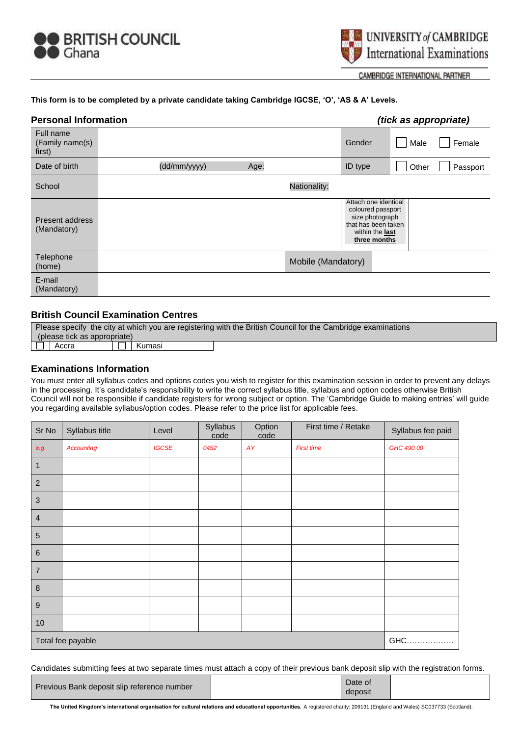



CAMBRIDGE INTERNATIONAL PARTNER

#### **This form is to be completed by a private candidate taking Cambridge IGCSE, 'O', 'AS & A' Levels.**

| <b>Personal Information</b>            |                      | <i>(tick as appropriate)</i>                                                                                                  |
|----------------------------------------|----------------------|-------------------------------------------------------------------------------------------------------------------------------|
| Full name<br>(Family name(s)<br>first) |                      | Gender<br>Female<br>Male                                                                                                      |
| Date of birth                          | (dd/mm/yyyy)<br>Age: | ID type<br>Other<br>Passport                                                                                                  |
| School                                 |                      | Nationality:                                                                                                                  |
| Present address<br>(Mandatory)         |                      | Attach one identical<br>coloured passport<br>size photograph<br>that has been taken<br>within the <b>last</b><br>three months |
| Telephone<br>(home)                    |                      | Mobile (Mandatory)                                                                                                            |
| E-mail<br>(Mandatory)                  |                      |                                                                                                                               |

## **British Council Examination Centres**

| Please specify the city at which you are registering with the British Council for the Cambridge examinations |       |  |        |  |
|--------------------------------------------------------------------------------------------------------------|-------|--|--------|--|
| (please tick as appropriate)                                                                                 |       |  |        |  |
|                                                                                                              | Accra |  | Kumasi |  |

#### **Examinations Information**

You must enter all syllabus codes and options codes you wish to register for this examination session in order to prevent any delays in the processing. It's candidate's responsibility to write the correct syllabus title, syllabus and option codes otherwise British Council will not be responsible if candidate registers for wrong subject or option. The 'Cambridge Guide to making entries' will guide you regarding available syllabus/option codes. Please refer to the price list for applicable fees.

| Sr No             | Syllabus title    | Level        | Syllabus<br>code | Option<br>code | First time / Retake | Syllabus fee paid |
|-------------------|-------------------|--------------|------------------|----------------|---------------------|-------------------|
| e.g.              | <b>Accounting</b> | <b>IGCSE</b> | 0452             | AY             | <b>First time</b>   | GHC 490.00        |
| $\mathbf{1}$      |                   |              |                  |                |                     |                   |
| $\sqrt{2}$        |                   |              |                  |                |                     |                   |
| $\sqrt{3}$        |                   |              |                  |                |                     |                   |
| $\overline{4}$    |                   |              |                  |                |                     |                   |
| $\overline{5}$    |                   |              |                  |                |                     |                   |
| $\,6\,$           |                   |              |                  |                |                     |                   |
| $\overline{7}$    |                   |              |                  |                |                     |                   |
| $\,8\,$           |                   |              |                  |                |                     |                   |
| $\boldsymbol{9}$  |                   |              |                  |                |                     |                   |
| $10$              |                   |              |                  |                |                     |                   |
| Total fee payable |                   |              |                  |                | GHC.<br>.           |                   |

Candidates submitting fees at two separate times must attach a copy of their previous bank deposit slip with the registration forms.

| Previous Bank deposit slip reference number | Date of<br>deposit |  |
|---------------------------------------------|--------------------|--|
|                                             |                    |  |

 **The United Kingdom's international organisation for cultural relations and educational opportunities.** A registered charity: 209131 (England and Wales) SC037733 (Scotland).